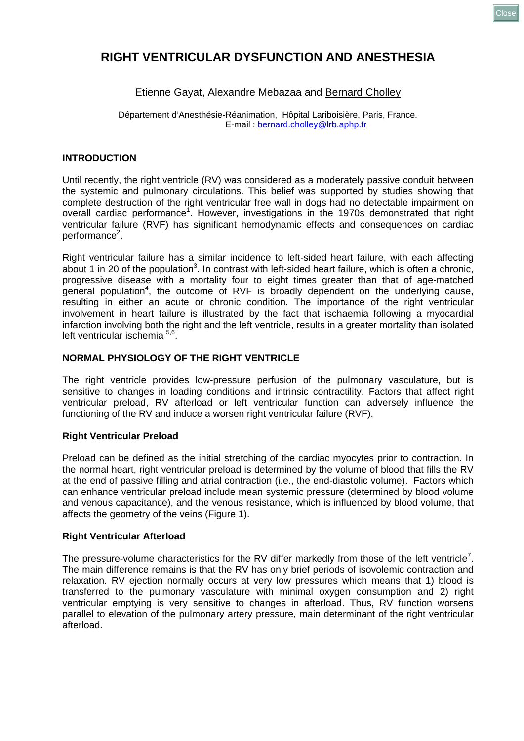# **RIGHT VENTRICULAR DYSFUNCTION AND ANESTHESIA**

# Etienne Gayat, Alexandre Mebazaa and Bernard Cholley

Département d'Anesthésie-Réanimation, Hôpital Lariboisière, Paris, France. E-mail : [bernard.cholley@lrb.aphp.fr](mailto:bernard.cholley@lrb.aphp.fr)

### **INTRODUCTION**

Until recently, the right ventricle (RV) was considered as a moderately passive conduit between the systemic and pulmonary circulations. This belief was supported by studies showing that complete destruction of the right ventricular free wall in dogs had no detectable impairment on overall cardiac performance<sup>1</sup>. However, investigations in the 1970s demonstrated that right ventricular failure (RVF) has significant hemodynamic effects and consequences on cardiac performance<sup>2</sup>.

Right ventricular failure has a similar incidence to left-sided heart failure, with each affecting about 1 in 20 of the population<sup>3</sup>. In contrast with left-sided heart failure, which is often a chronic, progressive disease with a mortality four to eight times greater than that of age-matched general population<sup>4</sup>, the outcome of RVF is broadly dependent on the underlying cause, resulting in either an acute or chronic condition. The importance of the right ventricular involvement in heart failure is illustrated by the fact that ischaemia following a myocardial infarction involving both the right and the left ventricle, results in a greater mortality than isolated left ventricular ischemia 5,6.

## **NORMAL PHYSIOLOGY OF THE RIGHT VENTRICLE**

The right ventricle provides low-pressure perfusion of the pulmonary vasculature, but is sensitive to changes in loading conditions and intrinsic contractility. Factors that affect right ventricular preload, RV afterload or left ventricular function can adversely influence the functioning of the RV and induce a worsen right ventricular failure (RVF).

### **Right Ventricular Preload**

Preload can be defined as the initial stretching of the cardiac myocytes prior to contraction. In the normal heart, right ventricular preload is determined by the volume of blood that fills the RV at the end of passive filling and atrial contraction (i.e., the end-diastolic volume). Factors which can enhance ventricular preload include mean systemic pressure (determined by blood volume and venous capacitance), and the venous resistance, which is influenced by [blood volume](http://www.cvphysiology.com/Blood%20Pressure/BP025.htm), that affects the geometry of the veins (Figure 1).

### **Right Ventricular Afterload**

The pressure-volume characteristics for the RV differ markedly from those of the left ventricle<sup>7</sup>. The main difference remains is that the RV has only brief periods of isovolemic contraction and relaxation. RV ejection normally occurs at very low pressures which means that 1) blood is transferred to the pulmonary vasculature with minimal oxygen consumption and 2) right ventricular emptying is very sensitive to changes in afterload. Thus, RV function worsens parallel to elevation of the pulmonary artery pressure, main determinant of the right ventricular afterload.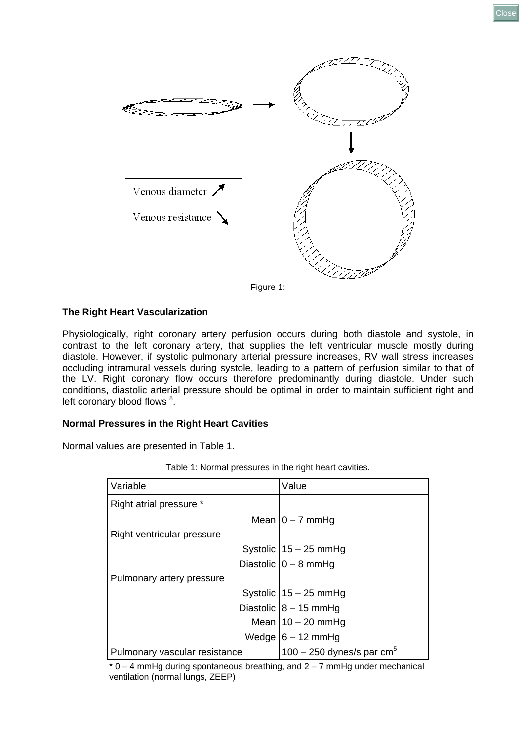

# Figure 1:

### **The Right Heart Vascularization**

Physiologically, right coronary artery perfusion occurs during both diastole and systole, in contrast to the left coronary artery, that supplies the left ventricular muscle mostly during diastole. However, if systolic pulmonary arterial pressure increases, RV wall stress increases occluding intramural vessels during systole, leading to a pattern of perfusion similar to that of the LV. Right coronary flow occurs therefore predominantly during diastole. Under such conditions, diastolic arterial pressure should be optimal in order to maintain sufficient right and left coronary blood flows <sup>8</sup>.

#### **Normal Pressures in the Right Heart Cavities**

Normal values are presented in Table 1.

| Variable                      | Value                       |
|-------------------------------|-----------------------------|
| Right atrial pressure *       |                             |
|                               | Mean $0 - 7$ mmHg           |
| Right ventricular pressure    |                             |
|                               | Systolic $15 - 25$ mmHg     |
|                               | Diastolic $0 - 8$ mmHg      |
| Pulmonary artery pressure     |                             |
|                               | Systolic $15 - 25$ mmHg     |
|                               | Diastolic $8 - 15$ mmHg     |
|                               | Mean   $10 - 20$ mmHg       |
|                               | Wedge $6 - 12$ mmHg         |
| Pulmonary vascular resistance | 100 – 250 dynes/s par $cm5$ |

Table 1: Normal pressures in the right heart cavities.

 $*$  0 – 4 mmHg during spontaneous breathing, and 2 – 7 mmHg under mechanical ventilation (normal lungs, ZEEP)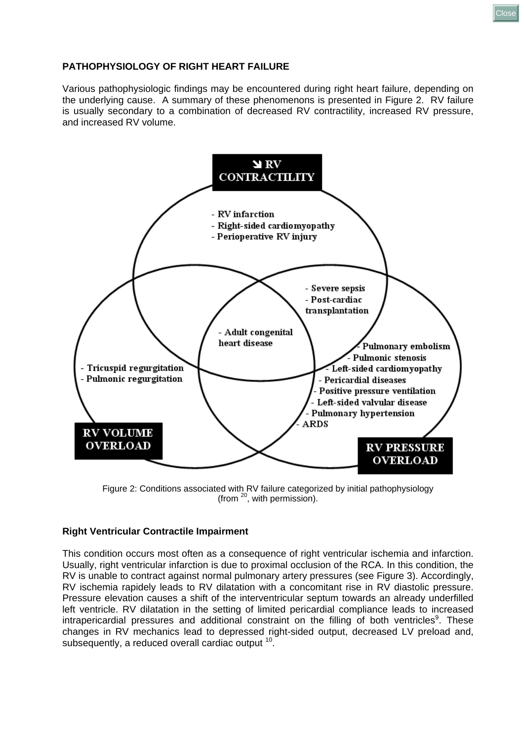**PATHOPHYSIOLOGY OF RIGHT HEART FAILURE**

Various pathophysiologic findings may be encountered during right heart failure, depending on the underlying cause. A summary of these phenomenons is presented in Figure 2. RV failure is usually secondary to a combination of decreased RV contractility, increased RV pressure, and increased RV volume.



Figure 2: Conditions associated with RV failure categorized by initial pathophysiology (from 20, with permission).

# **Right Ventricular Contractile Impairment**

This condition occurs most often as a consequence of right ventricular ischemia and infarction. Usually, right ventricular infarction is due to proximal occlusion of the RCA. In this condition, the RV is unable to contract against normal pulmonary artery pressures (see Figure 3). Accordingly, RV ischemia rapidely leads to RV dilatation with a concomitant rise in RV diastolic pressure. Pressure elevation causes a shift of the interventricular septum towards an already underfilled left ventricle. RV dilatation in the setting of limited pericardial compliance leads to increased intrapericardial pressures and additional constraint on the filling of both ventricles<sup>9</sup>. These changes in RV mechanics lead to depressed right-sided output, decreased LV preload and, subsequently, a reduced overall cardiac output <sup>10</sup>.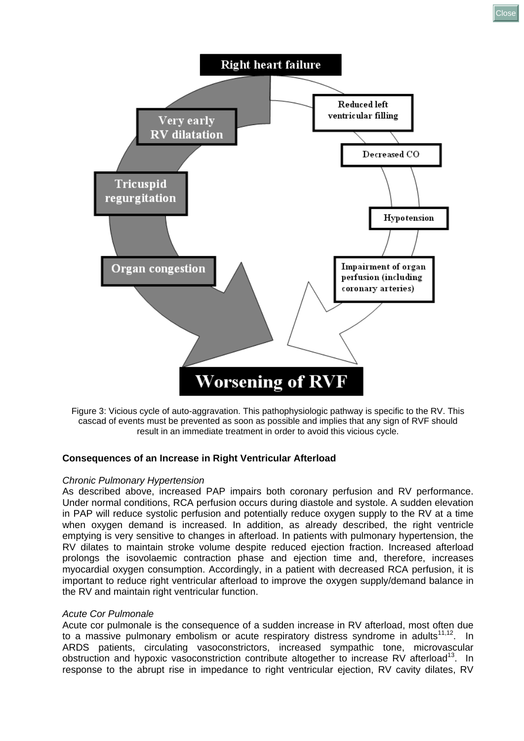

Figure 3: Vicious cycle of auto-aggravation. This pathophysiologic pathway is specific to the RV. This cascad of events must be prevented as soon as possible and implies that any sign of RVF should result in an immediate treatment in order to avoid this vicious cycle.

### **Consequences of an Increase in Right Ventricular Afterload**

#### *Chronic Pulmonary Hypertension*

As described above, increased PAP impairs both coronary perfusion and RV performance. Under normal conditions, RCA perfusion occurs during diastole and systole. A sudden elevation in PAP will reduce systolic perfusion and potentially reduce oxygen supply to the RV at a time when oxygen demand is increased. In addition, as already described, the right ventricle emptying is very sensitive to changes in afterload. In patients with pulmonary hypertension, the RV dilates to maintain stroke volume despite reduced ejection fraction. Increased afterload prolongs the isovolaemic contraction phase and ejection time and, therefore, increases myocardial oxygen consumption. Accordingly, in a patient with decreased RCA perfusion, it is important to reduce right ventricular afterload to improve the oxygen supply/demand balance in the RV and maintain right ventricular function.

#### *Acute Cor Pulmonale*

Acute cor pulmonale is the consequence of a sudden increase in RV afterload, most often due to a massive pulmonary embolism or acute respiratory distress syndrome in adults $11,12$ . In ARDS patients, circulating vasoconstrictors, increased sympathic tone, microvascular obstruction and hypoxic vasoconstriction contribute altogether to increase RV afterload<sup>13</sup>. In response to the abrupt rise in impedance to right ventricular ejection, RV cavity dilates, RV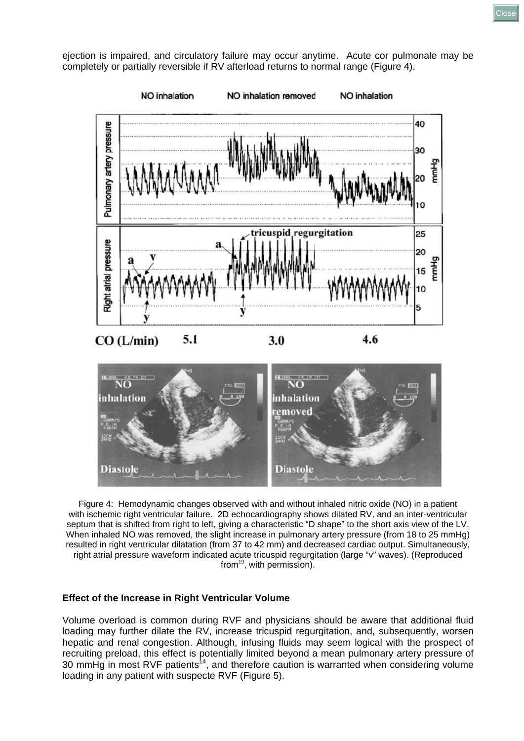ejection is impaired, and circulatory failure may occur anytime. Acute cor pulmonale may be completely or partially reversible if RV afterload returns to normal range (Figure 4).



Figure 4: Hemodynamic changes observed with and without inhaled nitric oxide (NO) in a patient with ischemic right ventricular failure. 2D echocardiography shows dilated RV, and an inter-ventricular septum that is shifted from right to left, giving a characteristic "D shape" to the short axis view of the LV. When inhaled NO was removed, the slight increase in pulmonary artery pressure (from 18 to 25 mmHg) resulted in right ventricular dilatation (from 37 to 42 mm) and decreased cardiac output. Simultaneously, right atrial pressure waveform indicated acute tricuspid regurgitation (large "v" waves). (Reproduced  $from<sup>19</sup>$ , with permission).

#### **Effect of the Increase in Right Ventricular Volume**

Volume overload is common during RVF and physicians should be aware that additional fluid loading may further dilate the RV, increase tricuspid regurgitation, and, subsequently, worsen hepatic and renal congestion. Although, infusing fluids may seem logical with the prospect of recruiting preload, this effect is potentially limited beyond a mean pulmonary artery pressure of 30 mmHg in most RVF patients<sup>14</sup>, and therefore caution is warranted when considering volume loading in any patient with suspecte RVF (Figure 5).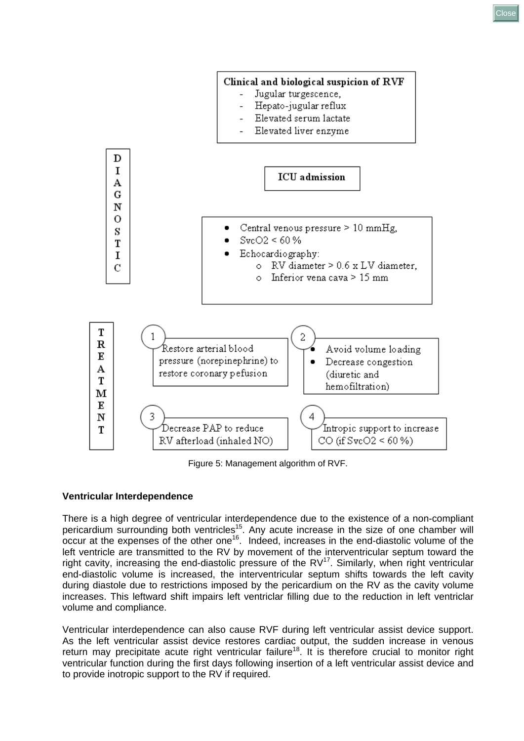

Figure 5: Management algorithm of RVF.

# **Ventricular Interdependence**

There is a high degree of ventricular interdependence due to the existence of a non-compliant pericardium surrounding both ventricles<sup>15</sup>. Any acute increase in the size of one chamber will occur at the expenses of the other one<sup>16</sup>. Indeed, increases in the end-diastolic volume of the left ventricle are transmitted to the RV by movement of the interventricular septum toward the right cavity, increasing the end-diastolic pressure of the  $RV^{17}$ . Similarly, when right ventricular end-diastolic volume is increased, the interventricular septum shifts towards the left cavity during diastole due to restrictions imposed by the pericardium on the RV as the cavity volume increases. This leftward shift impairs left ventriclar filling due to the reduction in left ventriclar volume and compliance.

Ventricular interdependence can also cause RVF during left ventricular assist device support. As the left ventricular assist device restores cardiac output, the sudden increase in venous return may precipitate acute right ventricular failure<sup>18</sup>. It is therefore crucial to monitor right ventricular function during the first days following insertion of a left ventricular assist device and to provide inotropic support to the RV if required.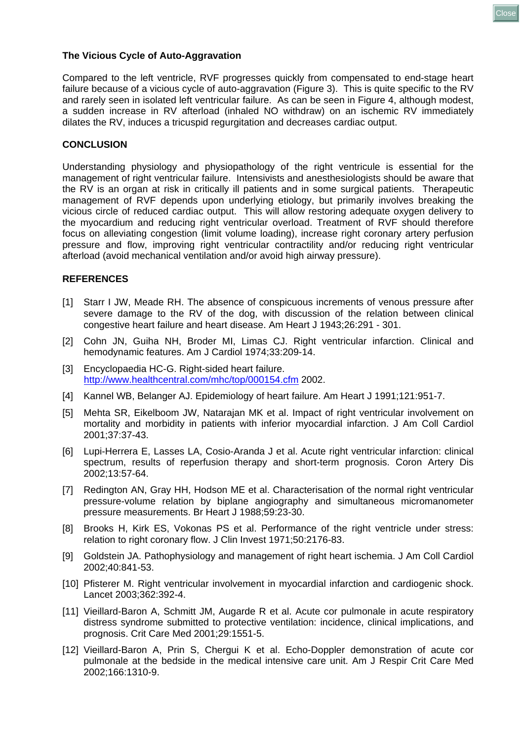

### **The Vicious Cycle of Auto-Aggravation**

Compared to the left ventricle, RVF progresses quickly from compensated to end-stage heart failure because of a vicious cycle of auto-aggravation (Figure 3). This is quite specific to the RV and rarely seen in isolated left ventricular failure. As can be seen in Figure 4, although modest, a sudden increase in RV afterload (inhaled NO withdraw) on an ischemic RV immediately dilates the RV, induces a tricuspid regurgitation and decreases cardiac output.

### **CONCLUSION**

Understanding physiology and physiopathology of the right ventricule is essential for the management of right ventricular failure. Intensivists and anesthesiologists should be aware that the RV is an organ at risk in critically ill patients and in some surgical patients. Therapeutic management of RVF depends upon underlying etiology, but primarily involves breaking the vicious circle of reduced cardiac output. This will allow restoring adequate oxygen delivery to the myocardium and reducing right ventricular overload. Treatment of RVF should therefore focus on alleviating congestion (limit volume loading), increase right coronary artery perfusion pressure and flow, improving right ventricular contractility and/or reducing right ventricular afterload (avoid mechanical ventilation and/or avoid high airway pressure).

### **REFERENCES**

- [1] Starr I JW, Meade RH. The absence of conspicuous increments of venous pressure after severe damage to the RV of the dog, with discussion of the relation between clinical congestive heart failure and heart disease. Am Heart J 1943;26:291 - 301.
- [2] Cohn JN, Guiha NH, Broder MI, Limas CJ. Right ventricular infarction. Clinical and hemodynamic features. Am J Cardiol 1974;33:209-14.
- [3] Encyclopaedia HC-G. Right-sided heart failure. <http://www.healthcentral.com/mhc/top/000154.cfm> 2002.
- [4] Kannel WB, Belanger AJ. Epidemiology of heart failure. Am Heart J 1991;121:951-7.
- [5] Mehta SR, Eikelboom JW, Natarajan MK et al. Impact of right ventricular involvement on mortality and morbidity in patients with inferior myocardial infarction. J Am Coll Cardiol 2001;37:37-43.
- [6] Lupi-Herrera E, Lasses LA, Cosio-Aranda J et al. Acute right ventricular infarction: clinical spectrum, results of reperfusion therapy and short-term prognosis. Coron Artery Dis 2002;13:57-64.
- [7] Redington AN, Gray HH, Hodson ME et al. Characterisation of the normal right ventricular pressure-volume relation by biplane angiography and simultaneous micromanometer pressure measurements. Br Heart J 1988;59:23-30.
- [8] Brooks H, Kirk ES, Vokonas PS et al. Performance of the right ventricle under stress: relation to right coronary flow. J Clin Invest 1971;50:2176-83.
- [9] Goldstein JA. Pathophysiology and management of right heart ischemia. J Am Coll Cardiol 2002;40:841-53.
- [10] Pfisterer M. Right ventricular involvement in myocardial infarction and cardiogenic shock. Lancet 2003;362:392-4.
- [11] Vieillard-Baron A, Schmitt JM, Augarde R et al. Acute cor pulmonale in acute respiratory distress syndrome submitted to protective ventilation: incidence, clinical implications, and prognosis. Crit Care Med 2001;29:1551-5.
- [12] Vieillard-Baron A, Prin S, Chergui K et al. Echo-Doppler demonstration of acute cor pulmonale at the bedside in the medical intensive care unit. Am J Respir Crit Care Med 2002;166:1310-9.